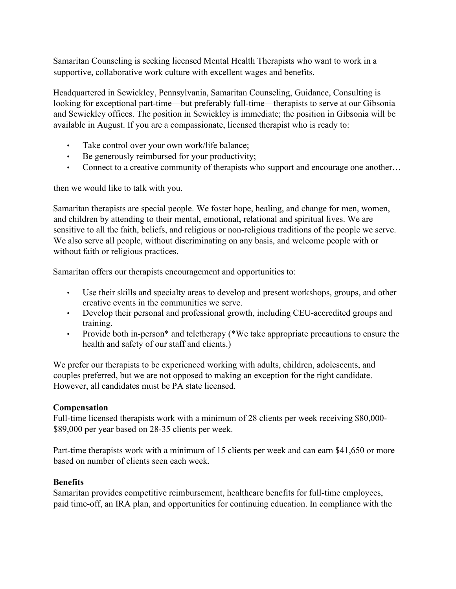Samaritan Counseling is seeking licensed Mental Health Therapists who want to work in a supportive, collaborative work culture with excellent wages and benefits.

Headquartered in Sewickley, Pennsylvania, Samaritan Counseling, Guidance, Consulting is looking for exceptional part-time—but preferably full-time—therapists to serve at our Gibsonia and Sewickley offices. The position in Sewickley is immediate; the position in Gibsonia will be available in August. If you are a compassionate, licensed therapist who is ready to:

- Take control over your own work/life balance;
- Be generously reimbursed for your productivity;
- Connect to a creative community of therapists who support and encourage one another...

then we would like to talk with you.

Samaritan therapists are special people. We foster hope, healing, and change for men, women, and children by attending to their mental, emotional, relational and spiritual lives. We are sensitive to all the faith, beliefs, and religious or non-religious traditions of the people we serve. We also serve all people, without discriminating on any basis, and welcome people with or without faith or religious practices.

Samaritan offers our therapists encouragement and opportunities to:

- Use their skills and specialty areas to develop and present workshops, groups, and other creative events in the communities we serve.
- Develop their personal and professional growth, including CEU-accredited groups and training.
- Provide both in-person<sup>\*</sup> and teletherapy (\*We take appropriate precautions to ensure the health and safety of our staff and clients.)

We prefer our therapists to be experienced working with adults, children, adolescents, and couples preferred, but we are not opposed to making an exception for the right candidate. However, all candidates must be PA state licensed.

## **Compensation**

Full-time licensed therapists work with a minimum of 28 clients per week receiving \$80,000- \$89,000 per year based on 28-35 clients per week.

Part-time therapists work with a minimum of 15 clients per week and can earn \$41,650 or more based on number of clients seen each week.

## **Benefits**

Samaritan provides competitive reimbursement, healthcare benefits for full-time employees, paid time-off, an IRA plan, and opportunities for continuing education. In compliance with the